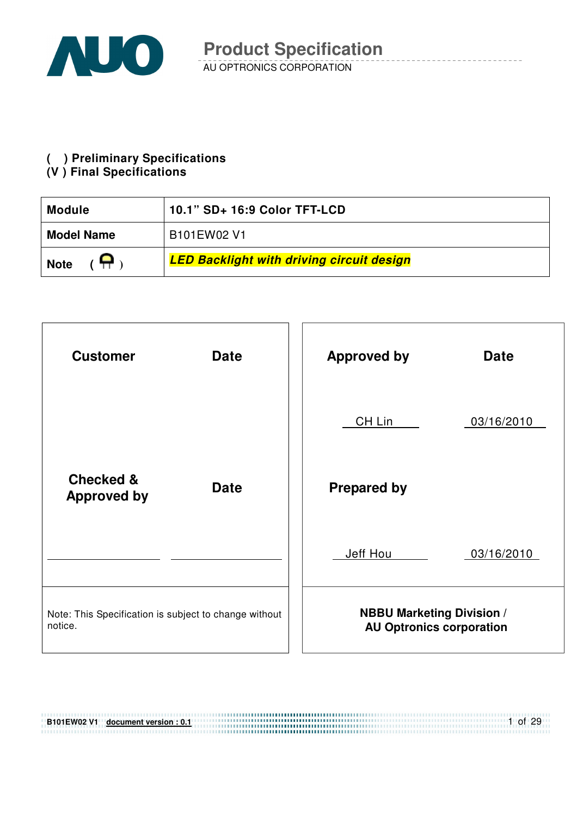

**( ) Preliminary Specifications** 

### **(V ) Final Specifications**

| 10.1" SD+ 16:9 Color TFT-LCD<br><b>Module</b> |                                                  |  |  |
|-----------------------------------------------|--------------------------------------------------|--|--|
| <b>Model Name</b>                             | B101EW02 V1                                      |  |  |
| <b>Note</b>                                   | <b>LED Backlight with driving circuit design</b> |  |  |



| <b>B101EW02 V1</b> | document version : 0.1 | of 29 |
|--------------------|------------------------|-------|
|                    |                        |       |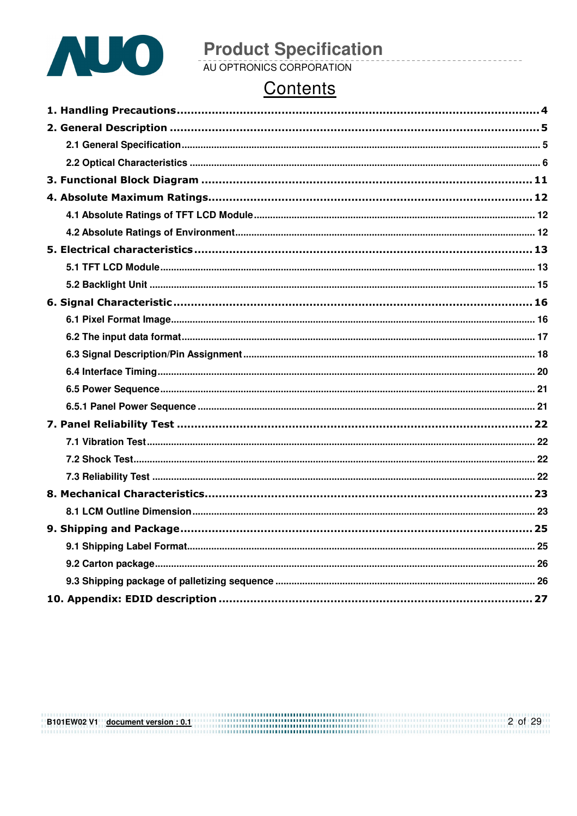

# **Product Specification**<br>AU OPTRONICS CORPORATION

# Contents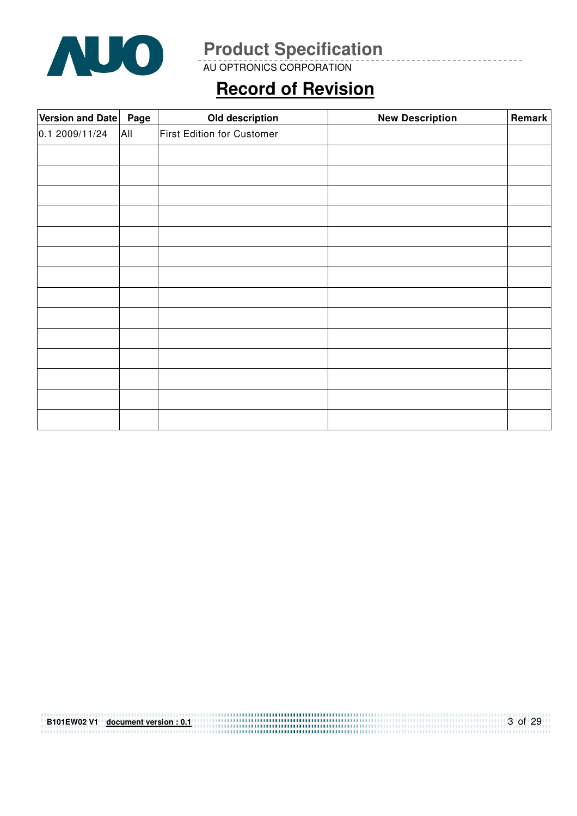

AU OPTRONICS CORPORATION

# **Record of Revision**

| Version and Date   Page |     | Old description            | <b>New Description</b> | Remark |
|-------------------------|-----|----------------------------|------------------------|--------|
| 0.1 2009/11/24          | All | First Edition for Customer |                        |        |
|                         |     |                            |                        |        |
|                         |     |                            |                        |        |
|                         |     |                            |                        |        |
|                         |     |                            |                        |        |
|                         |     |                            |                        |        |
|                         |     |                            |                        |        |
|                         |     |                            |                        |        |
|                         |     |                            |                        |        |
|                         |     |                            |                        |        |
|                         |     |                            |                        |        |
|                         |     |                            |                        |        |
|                         |     |                            |                        |        |
|                         |     |                            |                        |        |
|                         |     |                            |                        |        |
|                         |     |                            |                        |        |
|                         |     |                            |                        |        |

| B101EW02 V1 document version: 0.1 | $3$ of 29 |
|-----------------------------------|-----------|
|                                   |           |
|                                   |           |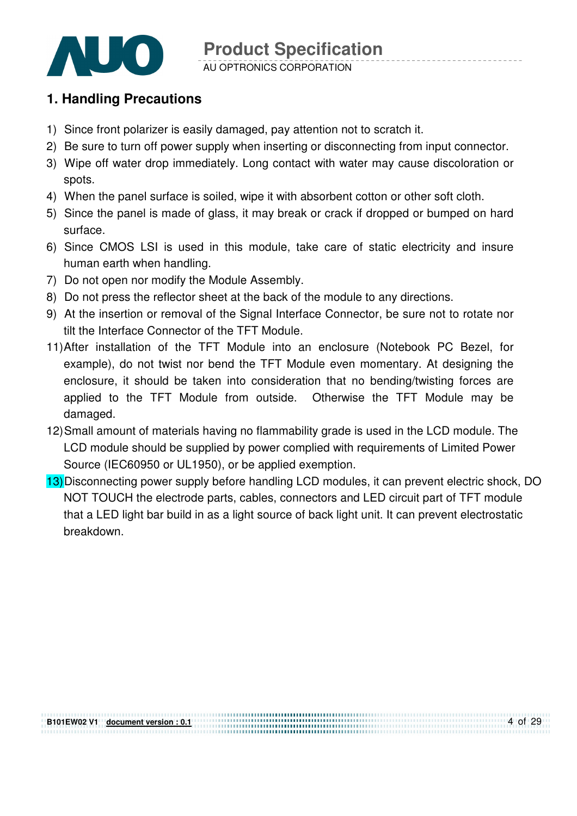

### **1. Handling Precautions**

**B101EW02 V1 document version : 0.1**

- 1) Since front polarizer is easily damaged, pay attention not to scratch it.
- 2) Be sure to turn off power supply when inserting or disconnecting from input connector.
- 3) Wipe off water drop immediately. Long contact with water may cause discoloration or spots.
- 4) When the panel surface is soiled, wipe it with absorbent cotton or other soft cloth.
- 5) Since the panel is made of glass, it may break or crack if dropped or bumped on hard surface.
- 6) Since CMOS LSI is used in this module, take care of static electricity and insure human earth when handling.
- 7) Do not open nor modify the Module Assembly.
- 8) Do not press the reflector sheet at the back of the module to any directions.
- 9) At the insertion or removal of the Signal Interface Connector, be sure not to rotate nor tilt the Interface Connector of the TFT Module.
- 11) After installation of the TFT Module into an enclosure (Notebook PC Bezel, for example), do not twist nor bend the TFT Module even momentary. At designing the enclosure, it should be taken into consideration that no bending/twisting forces are applied to the TFT Module from outside. Otherwise the TFT Module may be damaged.
- 12) Small amount of materials having no flammability grade is used in the LCD module. The LCD module should be supplied by power complied with requirements of Limited Power Source (IEC60950 or UL1950), or be applied exemption.
- 13) Disconnecting power supply before handling LCD modules, it can prevent electric shock, DO NOT TOUCH the electrode parts, cables, connectors and LED circuit part of TFT module that a LED light bar build in as a light source of back light unit. It can prevent electrostatic breakdown.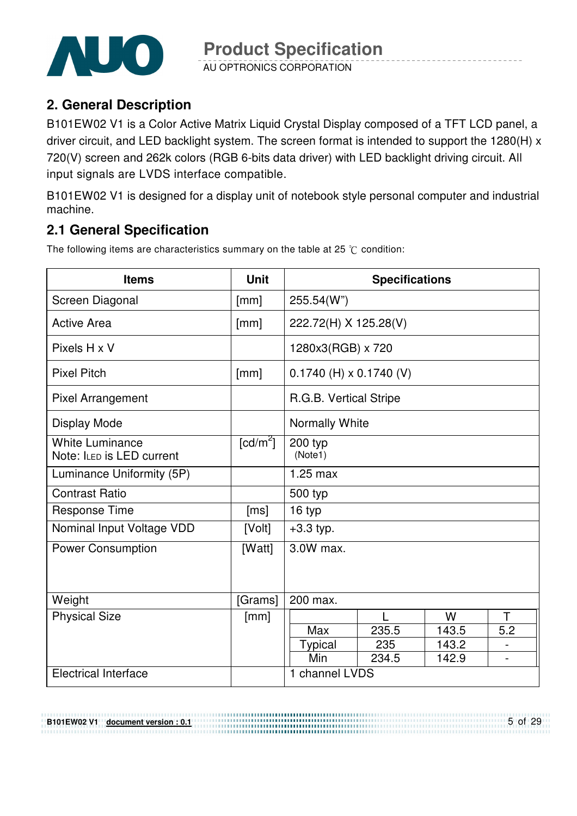

AU OPTRONICS CORPORATION

# **2. General Description**

B101EW02 V1 is a Color Active Matrix Liquid Crystal Display composed of a TFT LCD panel, a driver circuit, and LED backlight system. The screen format is intended to support the 1280(H) x 720(V) screen and 262k colors (RGB 6-bits data driver) with LED backlight driving circuit. All input signals are LVDS interface compatible.

B101EW02 V1 is designed for a display unit of notebook style personal computer and industrial machine.

# **2.1 General Specification**

**B101EW02 V1 document version : 0.1**

The following items are characteristics summary on the table at 25  $\degree$ C condition:

| <b>Items</b>                                        | <b>Unit</b>            | <b>Specifications</b>       |       |       |                |
|-----------------------------------------------------|------------------------|-----------------------------|-------|-------|----------------|
| Screen Diagonal                                     | [mm]                   | 255.54(W")                  |       |       |                |
| <b>Active Area</b>                                  | [mm]                   | 222.72(H) X 125.28(V)       |       |       |                |
| Pixels H x V                                        |                        | 1280x3(RGB) x 720           |       |       |                |
| <b>Pixel Pitch</b>                                  | [mm]                   | $0.1740$ (H) x $0.1740$ (V) |       |       |                |
| <b>Pixel Arrangement</b>                            |                        | R.G.B. Vertical Stripe      |       |       |                |
| Display Mode                                        |                        | Normally White              |       |       |                |
| <b>White Luminance</b><br>Note: ILED is LED current | $\lceil cd/m^2 \rceil$ | 200 typ<br>(Note1)          |       |       |                |
| Luminance Uniformity (5P)                           |                        | $1.25$ max                  |       |       |                |
| <b>Contrast Ratio</b>                               |                        | 500 typ                     |       |       |                |
| Response Time                                       | [ms]                   | 16 typ                      |       |       |                |
| Nominal Input Voltage VDD                           | [Volt]                 | $+3.3$ typ.                 |       |       |                |
| <b>Power Consumption</b>                            | [Watt]                 | 3.0W max.                   |       |       |                |
|                                                     |                        |                             |       |       |                |
| Weight                                              | [Grams]                | 200 max.                    |       |       |                |
| <b>Physical Size</b>                                | [mm]                   |                             |       | W     | T              |
|                                                     |                        | Max                         | 235.5 | 143.5 | 5.2            |
|                                                     |                        | <b>Typical</b><br>Min       | 235   | 143.2 |                |
|                                                     |                        |                             | 234.5 | 142.9 | $\blacksquare$ |
| <b>Electrical Interface</b>                         |                        | 1 channel LVDS              |       |       |                |

5 of 29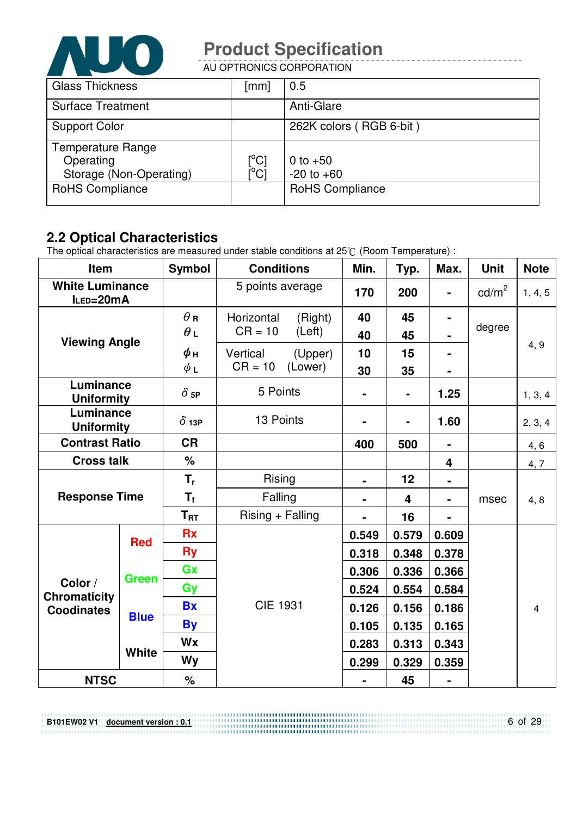

AU OPTRONICS CORPORATION

| <b>Glass Thickness</b>   | $\lceil mm \rceil$ | 0.5                     |
|--------------------------|--------------------|-------------------------|
| <b>Surface Treatment</b> |                    | Anti-Glare              |
| <b>Support Color</b>     |                    | 262K colors (RGB 6-bit) |
| <b>Temperature Range</b> |                    |                         |
| Operating                | $[^{\circ}C]$      | 0 to $+50$              |
| Storage (Non-Operating)  | ΰCĪ                | $-20$ to $+60$          |
| <b>RoHS Compliance</b>   |                    | <b>RoHS Compliance</b>  |

# **2.2 Optical Characteristics**

**B101EW02 V1 document version : 0.1**

The optical characteristics are measured under stable conditions at 25 $\degree$  (Room Temperature) :

| Item                                                |              | <b>Symbol</b>            | <b>Conditions</b>                            | Min.           | Typ.                    | Max.                             | <b>Unit</b>     | <b>Note</b>    |
|-----------------------------------------------------|--------------|--------------------------|----------------------------------------------|----------------|-------------------------|----------------------------------|-----------------|----------------|
| <b>White Luminance</b><br>ILED=20mA                 |              |                          | 5 points average                             | 170            | 200                     | $\blacksquare$                   | $\text{cd/m}^2$ | 1, 4, 5        |
|                                                     |              | $\theta$ R<br>$\theta$ L | Horizontal<br>(Right)<br>$CR = 10$<br>(Left) | 40<br>40       | 45<br>45                | $\blacksquare$<br>$\blacksquare$ | degree          |                |
| <b>Viewing Angle</b>                                |              | $\phi$ н<br>$\phi$ L     | Vertical<br>(Upper)<br>$CR = 10$<br>(Lower)  | 10<br>30       | 15<br>35                | $\blacksquare$                   |                 | 4, 9           |
| Luminance<br><b>Uniformity</b>                      |              | $\delta$ 5P              | 5 Points                                     | $\blacksquare$ | $\blacksquare$          | 1.25                             |                 | 1, 3, 4        |
| Luminance<br><b>Uniformity</b>                      |              | $\delta$ 13P             | 13 Points                                    | $\blacksquare$ | $\blacksquare$          | 1.60                             |                 | 2, 3, 4        |
| <b>Contrast Ratio</b>                               |              | <b>CR</b>                |                                              | 400            | 500                     | $\blacksquare$                   |                 | 4, 6           |
| <b>Cross talk</b>                                   |              | $\%$                     |                                              |                |                         | $\overline{\mathbf{4}}$          |                 | 4,7            |
|                                                     |              | $T_{r}$                  | Rising                                       | $\blacksquare$ | 12                      | $\blacksquare$                   |                 |                |
| <b>Response Time</b>                                |              | $T_{f}$                  | Falling                                      |                | $\overline{\mathbf{4}}$ | $\qquad \qquad \blacksquare$     | msec            | 4, 8           |
|                                                     |              | $T_{\rm RT}$             | $Rising + Falling$                           |                | 16                      |                                  |                 |                |
| <b>Red</b>                                          |              | <b>Rx</b>                |                                              | 0.549          | 0.579                   | 0.609                            |                 |                |
|                                                     |              | <b>Ry</b>                |                                              | 0.318          | 0.348                   | 0.378                            |                 |                |
|                                                     | Green        | Gx                       |                                              | 0.306          | 0.336                   | 0.366                            |                 |                |
| Color /<br><b>Chromaticity</b><br><b>Coodinates</b> |              | Gy                       |                                              | 0.524          | 0.554                   | 0.584                            |                 |                |
|                                                     |              | <b>Bx</b>                | <b>CIE 1931</b>                              | 0.126          | 0.156                   | 0.186                            |                 | $\overline{4}$ |
|                                                     | <b>Blue</b>  | <b>By</b>                |                                              | 0.105          | 0.135                   | 0.165                            |                 |                |
|                                                     |              | Wx                       |                                              | 0.283          | 0.313                   | 0.343                            |                 |                |
|                                                     | <b>White</b> | Wy                       |                                              | 0.299          | 0.329                   | 0.359                            |                 |                |
| <b>NTSC</b>                                         |              | $\%$                     |                                              | $\blacksquare$ | 45                      | $\blacksquare$                   |                 |                |

6 of 29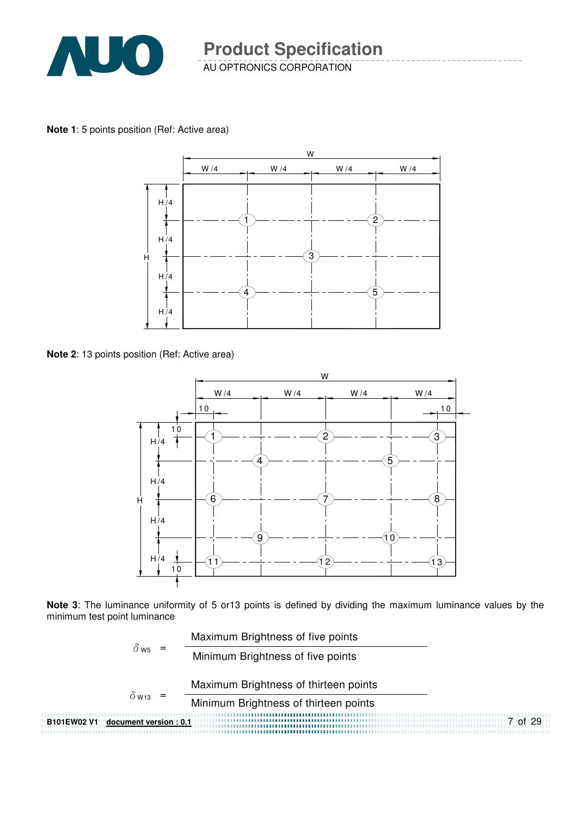

**Note 1**: 5 points position (Ref: Active area)



**Note 2**: 13 points position (Ref: Active area)



**Note 3**: The luminance uniformity of 5 or13 points is defined by dividing the maximum luminance values by the minimum test point luminance

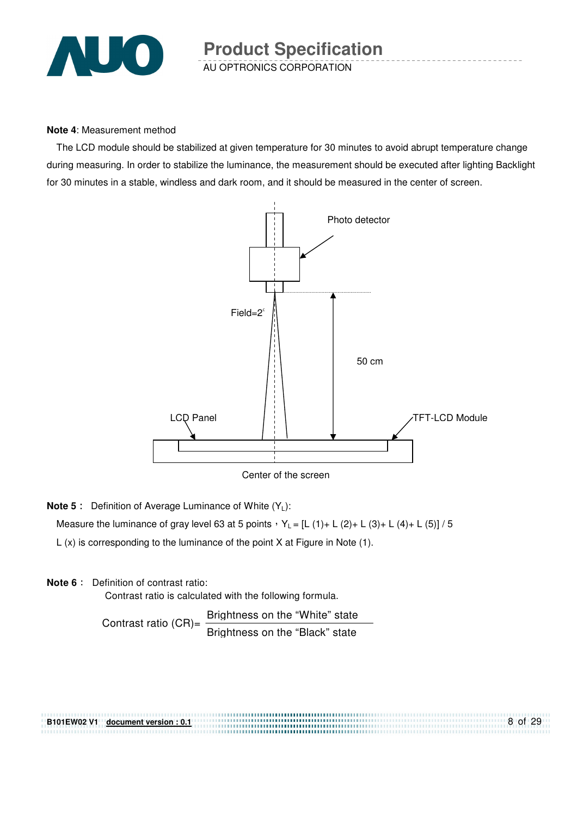

#### **Note 4**: Measurement method

The LCD module should be stabilized at given temperature for 30 minutes to avoid abrupt temperature change during measuring. In order to stabilize the luminance, the measurement should be executed after lighting Backlight for 30 minutes in a stable, windless and dark room, and it should be measured in the center of screen.



Center of the screen

**Note 5** : Definition of Average Luminance of White (Y<sub>L</sub>):

Measure the luminance of gray level 63 at 5 points  $Y_L = [L (1) + L (2) + L (3) + L (4) + L (5)] / 5$ 

L (x) is corresponding to the luminance of the point X at Figure in Note (1).

#### **Note 6** : Definition of contrast ratio:

Contrast ratio is calculated with the following formula.

Contrast ratio  $(CR)$ = Brightness on the "White" state Brightness on the "Black" state

8 of 29 **B101EW02 V1 document version : 0.1**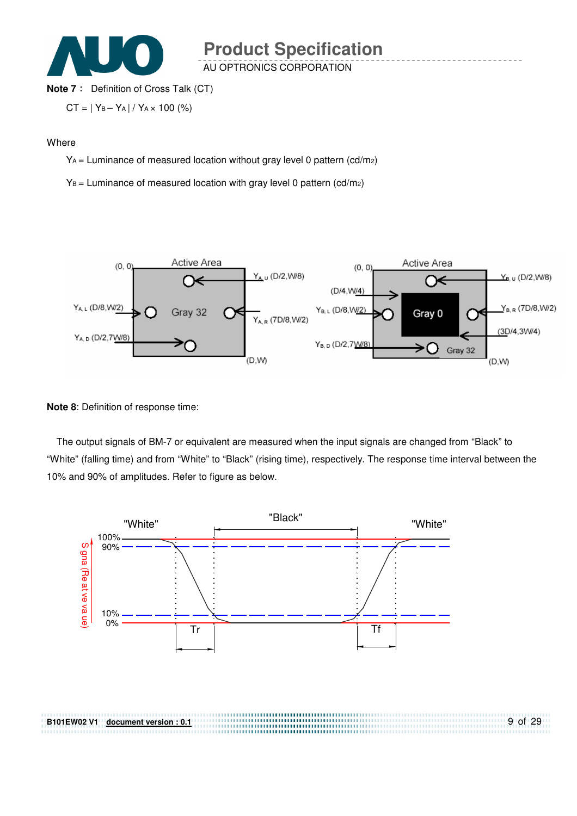

AU OPTRONICS CORPORATION

#### **Note 7** : Definition of Cross Talk (CT)

$$
CT = | Y_B - Y_A | / Y_A \times 100 (%)
$$

#### **Where**

YA = Luminance of measured location without gray level 0 pattern (cd/m2)

 $Y_B$  = Luminance of measured location with gray level 0 pattern (cd/m2)



#### **Note 8**: Definition of response time:

**B101EW02 V1 document version : 0.1**

The output signals of BM-7 or equivalent are measured when the input signals are changed from "Black" to "White" (falling time) and from "White" to "Black" (rising time), respectively. The response time interval between the 10% and 90% of amplitudes. Refer to figure as below.

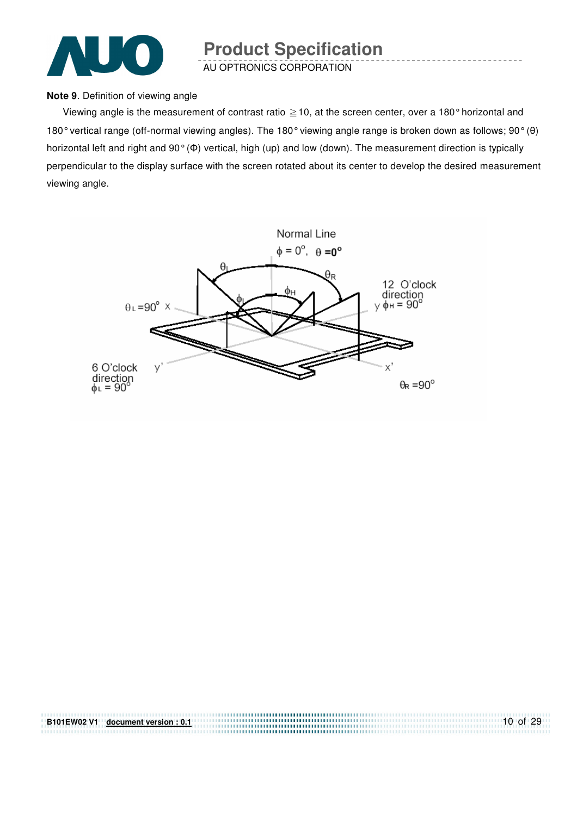

AU OPTRONICS CORPORATION

#### **Note 9**. Definition of viewing angle

Viewing angle is the measurement of contrast ratio  $\geq$  10, at the screen center, over a 180° horizontal and 180° vertical range (off-normal viewing angles). The 180° viewing angle range is broken down as follows; 90° (θ) horizontal left and right and 90° (Φ) vertical, high (up) and low (down). The measurement direction is typically perpendicular to the display surface with the screen rotated about its center to develop the desired measurement viewing angle.



| B101EW02 V1 document version: 0.1 | $10$ of 29 |
|-----------------------------------|------------|
|                                   |            |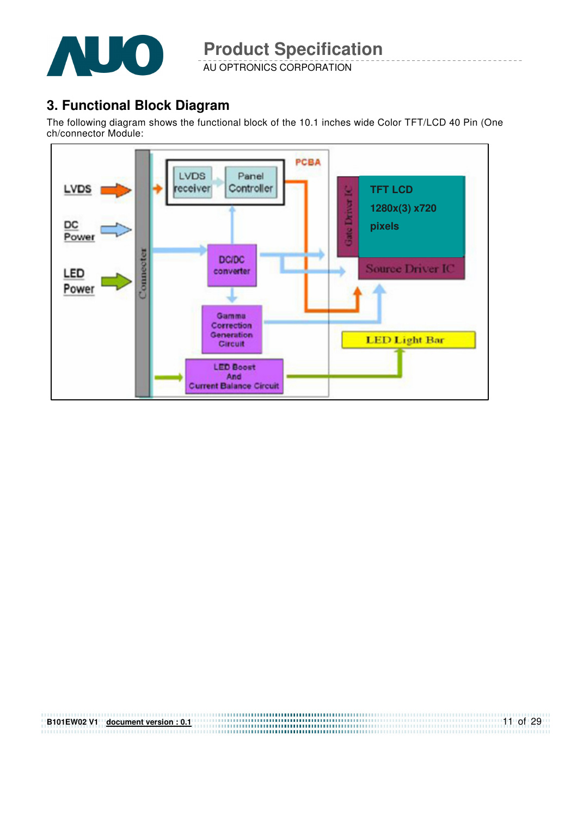

AU OPTRONICS CORPORATION

# **3. Functional Block Diagram**

The following diagram shows the functional block of the 10.1 inches wide Color TFT/LCD 40 Pin (One ch/connector Module:



| <b>B101EW02 V1</b> | document version : 0.1 | $11$ of 29 |
|--------------------|------------------------|------------|
|                    |                        |            |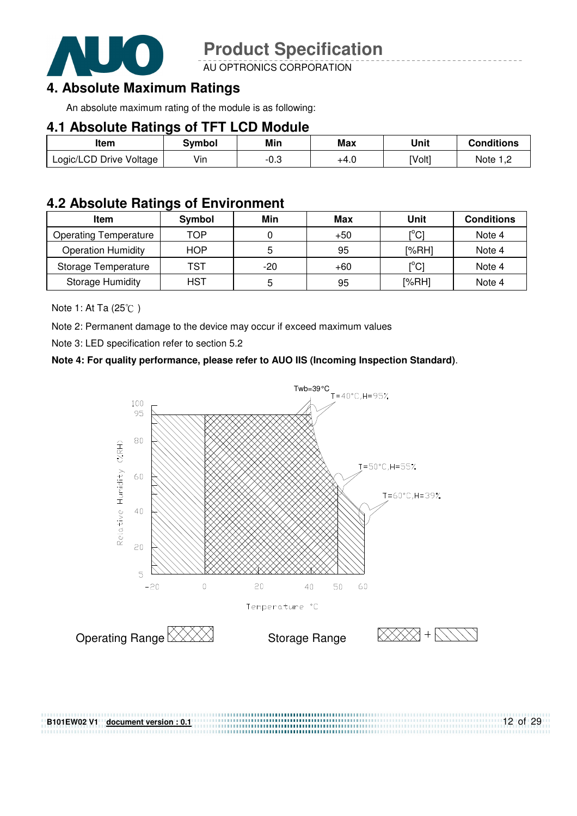

AU OPTRONICS CORPORATION

### **4. Absolute Maximum Ratings**

An absolute maximum rating of the module is as following:

### **4.1 Absolute Ratings of TFT LCD Module**

| Item                    | Svmbol | Min    | Max  | Unit   | <b>Conditions</b>    |
|-------------------------|--------|--------|------|--------|----------------------|
| Logic/LCD Drive Voltage | Vin    | $-0.3$ | +4.0 | [Volt] | Note 1. <sup>r</sup> |

## **4.2 Absolute Ratings of Environment**

| Item                         | Symbol     | Min | Max   | Unit                    | <b>Conditions</b> |
|------------------------------|------------|-----|-------|-------------------------|-------------------|
| <b>Operating Temperature</b> | TOP        |     | $+50$ | [°C]                    | Note 4            |
| <b>Operation Humidity</b>    | <b>HOP</b> |     | 95    | [%RH]                   | Note 4            |
| Storage Temperature          | TST        | -20 | $+60$ | $\mathsf{I}^{\circ}$ Cl | Note 4            |
| <b>Storage Humidity</b>      | <b>HST</b> |     | 95    | [%RH]                   | Note 4            |

Note 1: At Ta  $(25^{\circ}\text{C})$ 

Note 2: Permanent damage to the device may occur if exceed maximum values

Note 3: LED specification refer to section 5.2

#### **Note 4: For quality performance, please refer to AUO IIS (Incoming Inspection Standard)**.



**B101EW02 V1 document version : 0.1**

12 of 29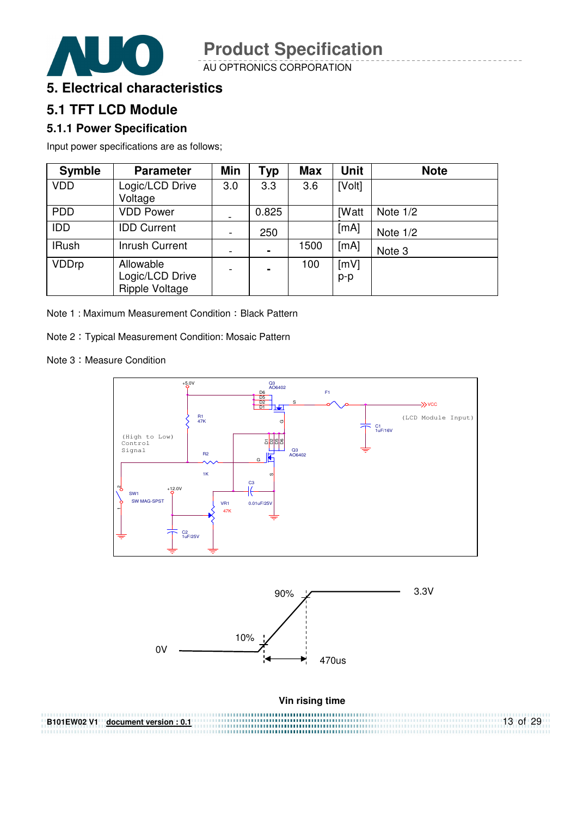

AU OPTRONICS CORPORATION



# **5.1 TFT LCD Module**

### **5.1.1 Power Specification**

Input power specifications are as follows;

| <b>Symble</b> | <b>Parameter</b>                               | Min                          | <b>Typ</b>     | <b>Max</b> | <b>Unit</b>  | <b>Note</b> |
|---------------|------------------------------------------------|------------------------------|----------------|------------|--------------|-------------|
| <b>VDD</b>    | Logic/LCD Drive<br>Voltage                     | 3.0                          | 3.3            | 3.6        | [Volt]       |             |
| <b>PDD</b>    | <b>VDD Power</b>                               |                              | 0.825          |            | <b>IWatt</b> | Note $1/2$  |
| <b>IDD</b>    | <b>IDD Current</b>                             | $\qquad \qquad \blacksquare$ | 250            |            | [mA]         | Note $1/2$  |
| <b>IRush</b>  | <b>Inrush Current</b>                          |                              | $\blacksquare$ | 1500       | [mA]         | Note 3      |
| <b>VDDrp</b>  | Allowable<br>Logic/LCD Drive<br>Ripple Voltage |                              | $\blacksquare$ | 100        | [mV]<br>p-p  |             |

Note 1: Maximum Measurement Condition: Black Pattern

Note 2 Typical Measurement Condition: Mosaic Pattern

Note 3: Measure Condition



13 of 29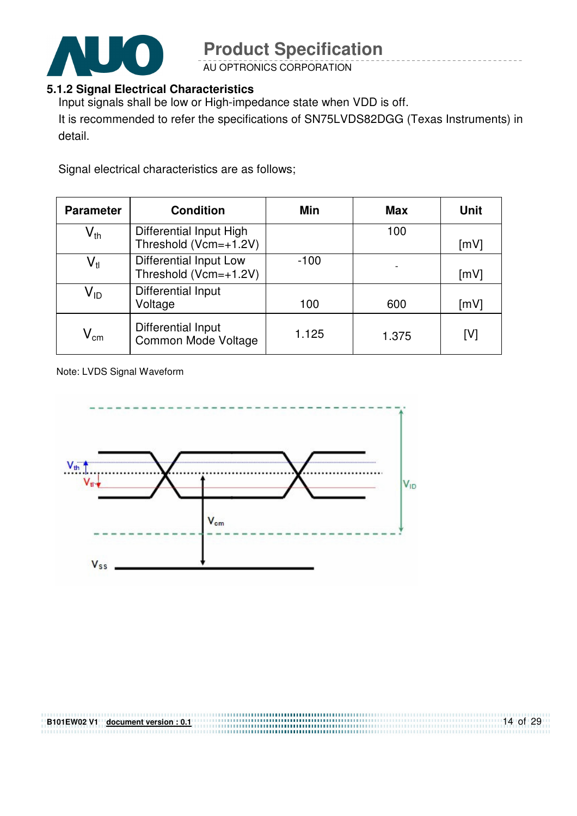

AU OPTRONICS CORPORATION

### **5.1.2 Signal Electrical Characteristics**

Input signals shall be low or High-impedance state when VDD is off.

It is recommended to refer the specifications of SN75LVDS82DGG (Texas Instruments) in detail.

Signal electrical characteristics are as follows;

| <b>Parameter</b>           | <b>Condition</b>                                 | Min    | <b>Max</b> | <b>Unit</b> |
|----------------------------|--------------------------------------------------|--------|------------|-------------|
| $V_{th}$                   | Differential Input High<br>Threshold (Vcm=+1.2V) |        | 100        | [mV]        |
| $\mathsf{V}_{\mathsf{tl}}$ | Differential Input Low<br>Threshold (Vcm=+1.2V)  | $-100$ |            | [mV]        |
| V <sub>ID</sub>            | Differential Input<br>Voltage                    | 100    | 600        | [mV]        |
| $V_{\rm cm}$               | Differential Input<br>Common Mode Voltage        | 1.125  | 1.375      | [V]         |

Note: LVDS Signal Waveform

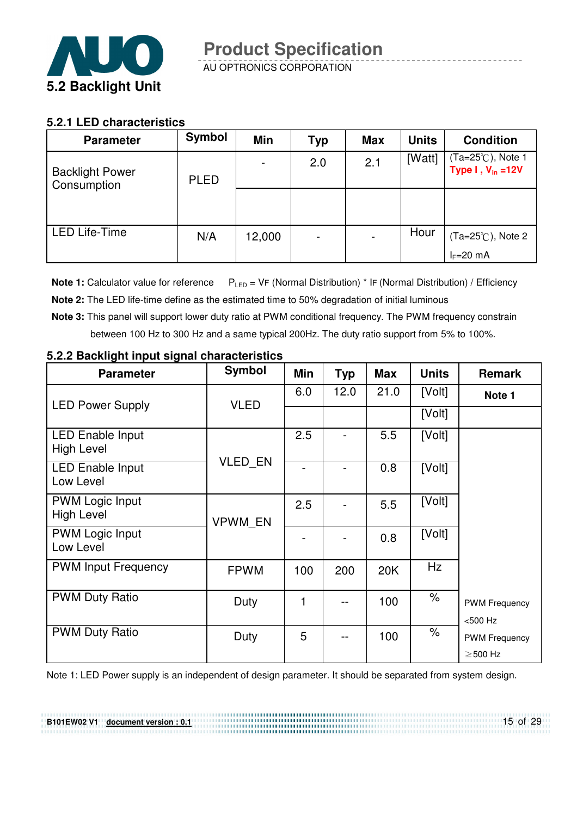

#### **5.2.1 LED characteristics**

| <b>Parameter</b>                      | <b>Symbol</b> | <b>Min</b> | <b>Typ</b> | <b>Max</b> | <b>Units</b> | <b>Condition</b>                           |
|---------------------------------------|---------------|------------|------------|------------|--------------|--------------------------------------------|
| <b>Backlight Power</b><br>Consumption | <b>PLED</b>   |            | 2.0        | 2.1        | [Watt]       | (Ta=25℃), Note 1<br>Type $I, V_{in} = 12V$ |
|                                       |               |            |            |            |              |                                            |
| <b>LED Life-Time</b>                  | N/A           | 12,000     |            |            | Hour         | $(Ta=25^{\circ}C)$ , Note 2                |
|                                       |               |            |            |            |              | $I_F=20$ mA                                |

**Note 1:** Calculator value for reference  $P_{LED} = VF$  (Normal Distribution) \* IF (Normal Distribution) / Efficiency

- **Note 2:** The LED life-time define as the estimated time to 50% degradation of initial luminous
- **Note 3:** This panel will support lower duty ratio at PWM conditional frequency. The PWM frequency constrain between 100 Hz to 300 Hz and a same typical 200Hz. The duty ratio support from 5% to 100%.

| <b>Parameter</b>                             | <b>Symbol</b> | Min | <b>Typ</b> | <b>Max</b> | <b>Units</b>         | <b>Remark</b>                         |
|----------------------------------------------|---------------|-----|------------|------------|----------------------|---------------------------------------|
| <b>LED Power Supply</b>                      | <b>VLED</b>   | 6.0 | 12.0       | 21.0       | [Volt]               | Note 1                                |
|                                              |               |     |            |            | [Volt]               |                                       |
| <b>LED Enable Input</b><br><b>High Level</b> |               | 2.5 |            | 5.5        | [Volt]               |                                       |
| <b>LED Enable Input</b><br>Low Level         | VLED_EN       |     |            | 0.8        | [Volt]               |                                       |
| <b>PWM Logic Input</b><br><b>High Level</b>  | VPWM_EN       | 2.5 |            | 5.5        | [Volt]               |                                       |
| <b>PWM Logic Input</b><br>Low Level          |               |     |            | 0.8        | [Volt]               |                                       |
| <b>PWM Input Frequency</b>                   | <b>FPWM</b>   | 100 | 200        | 20K        | Hz                   |                                       |
| <b>PWM Duty Ratio</b>                        | Duty          | 1   |            | 100        | $\%$                 | <b>PWM Frequency</b><br><500 Hz       |
| <b>PWM Duty Ratio</b>                        | Duty          | 5   |            | 100        | $\frac{1}{\sqrt{2}}$ | <b>PWM Frequency</b><br>$\geq$ 500 Hz |

#### **5.2.2 Backlight input signal characteristics**

**B101EW02 V1 document version : 0.1**

Note 1: LED Power supply is an independent of design parameter. It should be separated from system design.

15 of 29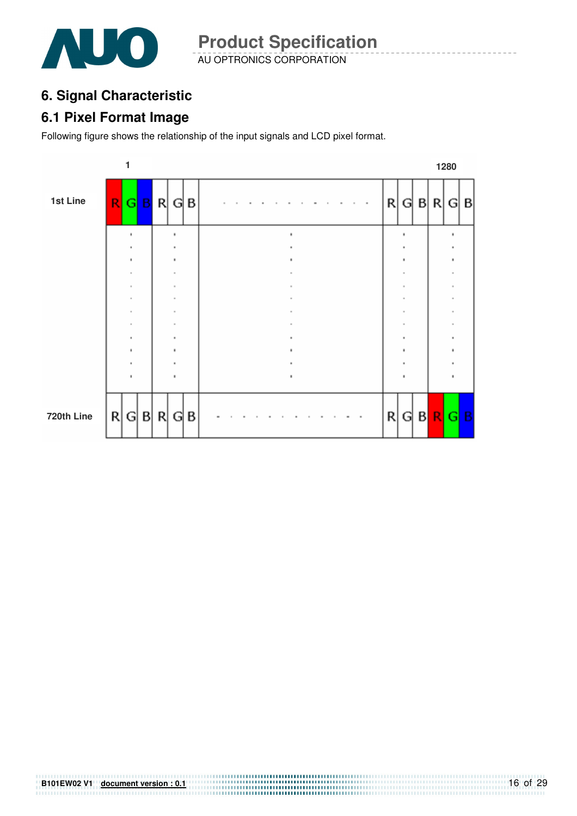

# **6. Signal Characteristic**

### **6.1 Pixel Format Image**

Following figure shows the relationship of the input signals and LCD pixel format.



# **B101EW02 V1** <u>document version : 0.1</u> **COVER 101EW02 V1 document version : 0.1 COVER 101EW02 V1 document version : 0.1**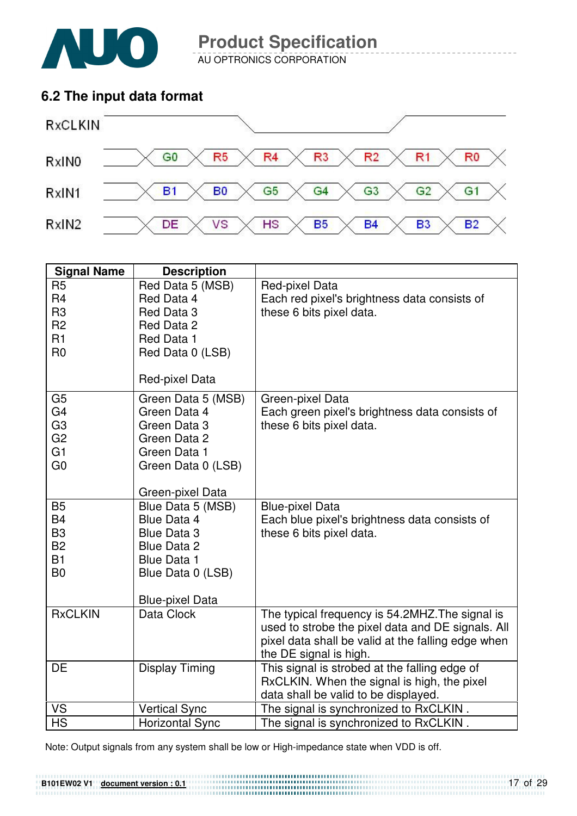

AU OPTRONICS CORPORATION

# **6.2 The input data format**



| Red Data 5 (MSB)<br>R <sub>5</sub><br>Red-pixel Data<br>R <sub>4</sub><br>Red Data 4<br>Each red pixel's brightness data consists of<br>R <sub>3</sub><br>these 6 bits pixel data.<br>Red Data 3<br>R <sub>2</sub><br>Red Data 2<br>R1<br>Red Data 1<br>R <sub>0</sub><br>Red Data 0 (LSB)<br>Red-pixel Data<br>G <sub>5</sub><br>Green Data 5 (MSB)<br>Green-pixel Data<br>G4<br>Green Data 4<br>Each green pixel's brightness data consists of<br>G <sub>3</sub><br>Green Data 3<br>these 6 bits pixel data.<br>G <sub>2</sub><br>Green Data 2<br>G <sub>1</sub><br>Green Data 1<br>G <sub>0</sub><br>Green Data 0 (LSB)<br>Green-pixel Data<br><b>B5</b><br>Blue Data 5 (MSB)<br><b>Blue-pixel Data</b><br><b>B4</b><br>Blue Data 4<br>Each blue pixel's brightness data consists of<br>B <sub>3</sub><br>these 6 bits pixel data.<br><b>Blue Data 3</b><br><b>B2</b><br><b>Blue Data 2</b><br><b>B1</b><br><b>Blue Data 1</b><br>B <sub>0</sub><br>Blue Data 0 (LSB)<br><b>Blue-pixel Data</b><br><b>RxCLKIN</b><br>Data Clock<br>The typical frequency is 54.2MHZ. The signal is<br>used to strobe the pixel data and DE signals. All | <b>Signal Name</b> | <b>Description</b> |  |
|--------------------------------------------------------------------------------------------------------------------------------------------------------------------------------------------------------------------------------------------------------------------------------------------------------------------------------------------------------------------------------------------------------------------------------------------------------------------------------------------------------------------------------------------------------------------------------------------------------------------------------------------------------------------------------------------------------------------------------------------------------------------------------------------------------------------------------------------------------------------------------------------------------------------------------------------------------------------------------------------------------------------------------------------------------------------------------------------------------------------------------------------|--------------------|--------------------|--|
|                                                                                                                                                                                                                                                                                                                                                                                                                                                                                                                                                                                                                                                                                                                                                                                                                                                                                                                                                                                                                                                                                                                                            |                    |                    |  |
|                                                                                                                                                                                                                                                                                                                                                                                                                                                                                                                                                                                                                                                                                                                                                                                                                                                                                                                                                                                                                                                                                                                                            |                    |                    |  |
|                                                                                                                                                                                                                                                                                                                                                                                                                                                                                                                                                                                                                                                                                                                                                                                                                                                                                                                                                                                                                                                                                                                                            |                    |                    |  |
|                                                                                                                                                                                                                                                                                                                                                                                                                                                                                                                                                                                                                                                                                                                                                                                                                                                                                                                                                                                                                                                                                                                                            |                    |                    |  |
|                                                                                                                                                                                                                                                                                                                                                                                                                                                                                                                                                                                                                                                                                                                                                                                                                                                                                                                                                                                                                                                                                                                                            |                    |                    |  |
|                                                                                                                                                                                                                                                                                                                                                                                                                                                                                                                                                                                                                                                                                                                                                                                                                                                                                                                                                                                                                                                                                                                                            |                    |                    |  |
|                                                                                                                                                                                                                                                                                                                                                                                                                                                                                                                                                                                                                                                                                                                                                                                                                                                                                                                                                                                                                                                                                                                                            |                    |                    |  |
|                                                                                                                                                                                                                                                                                                                                                                                                                                                                                                                                                                                                                                                                                                                                                                                                                                                                                                                                                                                                                                                                                                                                            |                    |                    |  |
|                                                                                                                                                                                                                                                                                                                                                                                                                                                                                                                                                                                                                                                                                                                                                                                                                                                                                                                                                                                                                                                                                                                                            |                    |                    |  |
|                                                                                                                                                                                                                                                                                                                                                                                                                                                                                                                                                                                                                                                                                                                                                                                                                                                                                                                                                                                                                                                                                                                                            |                    |                    |  |
|                                                                                                                                                                                                                                                                                                                                                                                                                                                                                                                                                                                                                                                                                                                                                                                                                                                                                                                                                                                                                                                                                                                                            |                    |                    |  |
|                                                                                                                                                                                                                                                                                                                                                                                                                                                                                                                                                                                                                                                                                                                                                                                                                                                                                                                                                                                                                                                                                                                                            |                    |                    |  |
|                                                                                                                                                                                                                                                                                                                                                                                                                                                                                                                                                                                                                                                                                                                                                                                                                                                                                                                                                                                                                                                                                                                                            |                    |                    |  |
|                                                                                                                                                                                                                                                                                                                                                                                                                                                                                                                                                                                                                                                                                                                                                                                                                                                                                                                                                                                                                                                                                                                                            |                    |                    |  |
|                                                                                                                                                                                                                                                                                                                                                                                                                                                                                                                                                                                                                                                                                                                                                                                                                                                                                                                                                                                                                                                                                                                                            |                    |                    |  |
|                                                                                                                                                                                                                                                                                                                                                                                                                                                                                                                                                                                                                                                                                                                                                                                                                                                                                                                                                                                                                                                                                                                                            |                    |                    |  |
|                                                                                                                                                                                                                                                                                                                                                                                                                                                                                                                                                                                                                                                                                                                                                                                                                                                                                                                                                                                                                                                                                                                                            |                    |                    |  |
|                                                                                                                                                                                                                                                                                                                                                                                                                                                                                                                                                                                                                                                                                                                                                                                                                                                                                                                                                                                                                                                                                                                                            |                    |                    |  |
|                                                                                                                                                                                                                                                                                                                                                                                                                                                                                                                                                                                                                                                                                                                                                                                                                                                                                                                                                                                                                                                                                                                                            |                    |                    |  |
|                                                                                                                                                                                                                                                                                                                                                                                                                                                                                                                                                                                                                                                                                                                                                                                                                                                                                                                                                                                                                                                                                                                                            |                    |                    |  |
|                                                                                                                                                                                                                                                                                                                                                                                                                                                                                                                                                                                                                                                                                                                                                                                                                                                                                                                                                                                                                                                                                                                                            |                    |                    |  |
|                                                                                                                                                                                                                                                                                                                                                                                                                                                                                                                                                                                                                                                                                                                                                                                                                                                                                                                                                                                                                                                                                                                                            |                    |                    |  |
|                                                                                                                                                                                                                                                                                                                                                                                                                                                                                                                                                                                                                                                                                                                                                                                                                                                                                                                                                                                                                                                                                                                                            |                    |                    |  |
| pixel data shall be valid at the falling edge when                                                                                                                                                                                                                                                                                                                                                                                                                                                                                                                                                                                                                                                                                                                                                                                                                                                                                                                                                                                                                                                                                         |                    |                    |  |
| the DE signal is high.                                                                                                                                                                                                                                                                                                                                                                                                                                                                                                                                                                                                                                                                                                                                                                                                                                                                                                                                                                                                                                                                                                                     |                    |                    |  |
| DE<br>This signal is strobed at the falling edge of<br><b>Display Timing</b>                                                                                                                                                                                                                                                                                                                                                                                                                                                                                                                                                                                                                                                                                                                                                                                                                                                                                                                                                                                                                                                               |                    |                    |  |
| RxCLKIN. When the signal is high, the pixel<br>data shall be valid to be displayed.                                                                                                                                                                                                                                                                                                                                                                                                                                                                                                                                                                                                                                                                                                                                                                                                                                                                                                                                                                                                                                                        |                    |                    |  |
| <b>VS</b><br>The signal is synchronized to RxCLKIN.<br><b>Vertical Sync</b>                                                                                                                                                                                                                                                                                                                                                                                                                                                                                                                                                                                                                                                                                                                                                                                                                                                                                                                                                                                                                                                                |                    |                    |  |
| <b>HS</b><br>The signal is synchronized to RxCLKIN.<br><b>Horizontal Sync</b>                                                                                                                                                                                                                                                                                                                                                                                                                                                                                                                                                                                                                                                                                                                                                                                                                                                                                                                                                                                                                                                              |                    |                    |  |

Note: Output signals from any system shall be low or High-impedance state when VDD is off.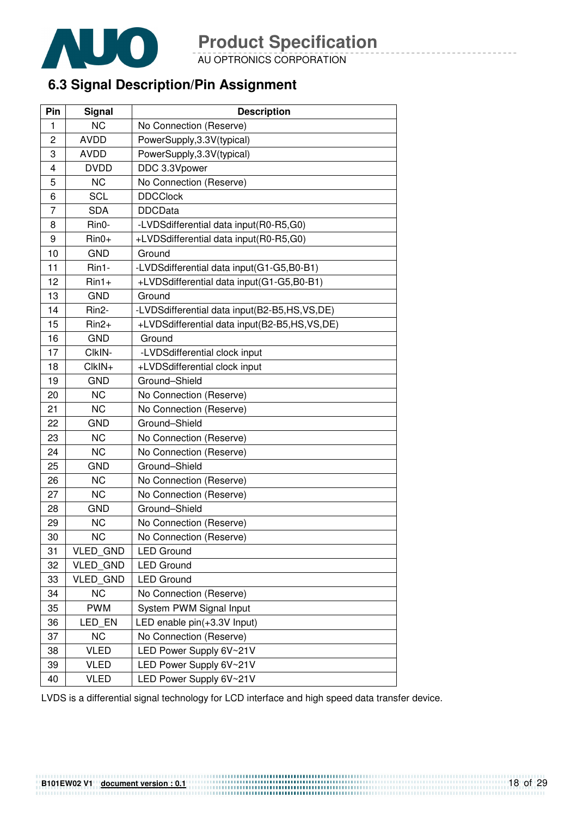

AU OPTRONICS CORPORATION

# **6.3 Signal Description/Pin Assignment**

| Pin | Signal          | <b>Description</b>                           |
|-----|-----------------|----------------------------------------------|
| 1   | <b>NC</b>       | No Connection (Reserve)                      |
| 2   | <b>AVDD</b>     | PowerSupply, 3.3V(typical)                   |
| 3   | <b>AVDD</b>     | PowerSupply, 3.3V(typical)                   |
| 4   | <b>DVDD</b>     | DDC 3.3Vpower                                |
| 5   | <b>NC</b>       | No Connection (Reserve)                      |
| 6   | <b>SCL</b>      | <b>DDCClock</b>                              |
| 7   | <b>SDA</b>      | <b>DDCData</b>                               |
| 8   | Rin0-           | -LVDSdifferential data input(R0-R5,G0)       |
| 9   | $Rin0+$         | +LVDSdifferential data input(R0-R5,G0)       |
| 10  | <b>GND</b>      | Ground                                       |
| 11  | Rin1-           | -LVDSdifferential data input(G1-G5,B0-B1)    |
| 12  | $Rin1+$         | +LVDSdifferential data input(G1-G5,B0-B1)    |
| 13  | <b>GND</b>      | Ground                                       |
| 14  | Rin2-           | -LVDSdifferential data input(B2-B5,HS,VS,DE) |
| 15  | $Rin2+$         | +LVDSdifferential data input(B2-B5,HS,VS,DE) |
| 16  | <b>GND</b>      | Ground                                       |
| 17  | CIkIN-          | -LVDSdifferential clock input                |
| 18  | $ClkIN+$        | +LVDSdifferential clock input                |
| 19  | <b>GND</b>      | Ground-Shield                                |
| 20  | <b>NC</b>       | No Connection (Reserve)                      |
| 21  | <b>NC</b>       | No Connection (Reserve)                      |
| 22  | <b>GND</b>      | Ground-Shield                                |
| 23  | <b>NC</b>       | No Connection (Reserve)                      |
| 24  | <b>NC</b>       | No Connection (Reserve)                      |
| 25  | <b>GND</b>      | Ground-Shield                                |
| 26  | <b>NC</b>       | No Connection (Reserve)                      |
| 27  | <b>NC</b>       | No Connection (Reserve)                      |
| 28  | <b>GND</b>      | Ground-Shield                                |
| 29  | <b>NC</b>       | No Connection (Reserve)                      |
| 30  | <b>NC</b>       | No Connection (Reserve)                      |
| 31  | VLED_GND        | <b>LED Ground</b>                            |
| 32  | <b>VLED GND</b> | <b>LED Ground</b>                            |
| 33  | <b>VLED GND</b> | <b>LED Ground</b>                            |
| 34  | <b>NC</b>       | No Connection (Reserve)                      |
| 35  | <b>PWM</b>      | System PWM Signal Input                      |
| 36  | LED_EN          | LED enable pin(+3.3V Input)                  |
| 37  | <b>NC</b>       | No Connection (Reserve)                      |
| 38  | <b>VLED</b>     | LED Power Supply 6V~21V                      |
| 39  | <b>VLED</b>     | LED Power Supply 6V~21V                      |
| 40  | <b>VLED</b>     | LED Power Supply 6V~21V                      |

LVDS is a differential signal technology for LCD interface and high speed data transfer device.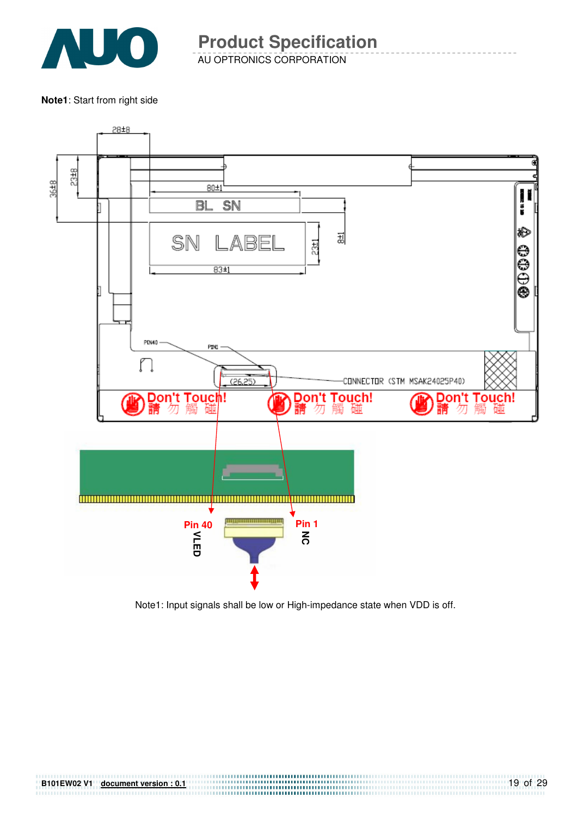

**Note1**: Start from right side



Note1: Input signals shall be low or High-impedance state when VDD is off.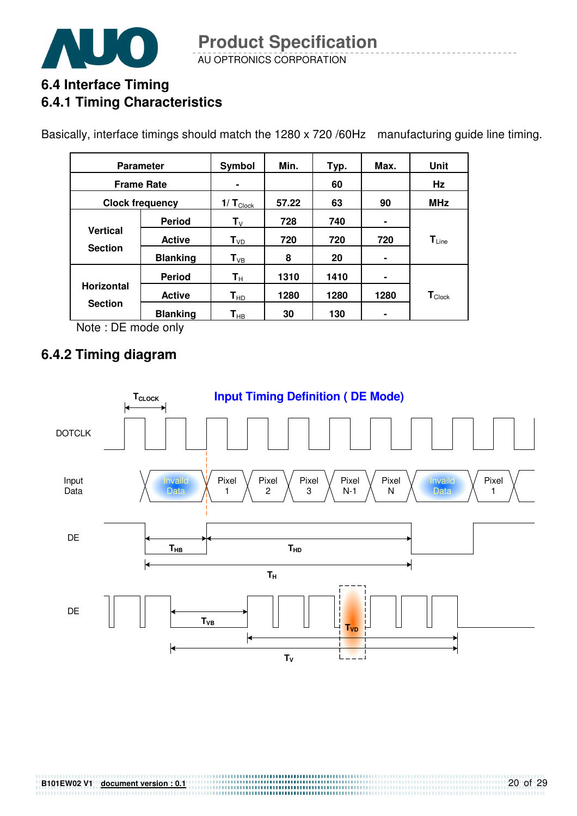

# **6.4 Interface Timing 6.4.1 Timing Characteristics**

Basically, interface timings should match the 1280 x 720 /60Hz manufacturing guide line timing.

| <b>Parameter</b>                    |                   | Symbol                     | Min.  | Typ. | Max. | Unit                         |
|-------------------------------------|-------------------|----------------------------|-------|------|------|------------------------------|
|                                     | <b>Frame Rate</b> | $\blacksquare$             |       | 60   |      | Hz                           |
| <b>Clock frequency</b>              |                   | $1/T_{\text{Clock}}$       | 57.22 | 63   | 90   | <b>MHz</b>                   |
|                                     | <b>Period</b>     | $T_{V}$                    | 728   | 740  | ۰    |                              |
| <b>Vertical</b><br><b>Section</b>   | <b>Active</b>     | $\mathsf{T}_{\texttt{VD}}$ | 720   | 720  | 720  | $\mathsf{T}_{\mathsf{Line}}$ |
|                                     | <b>Blanking</b>   | $\mathsf{T}_{\texttt{VB}}$ | 8     | 20   | ۰    |                              |
| <b>Horizontal</b><br><b>Section</b> | <b>Period</b>     | $\mathbf{T}_{\mathsf{H}}$  | 1310  | 1410 | ۰    |                              |
|                                     | <b>Active</b>     | $\mathbf{T}_{\sf HD}$      | 1280  | 1280 | 1280 | $\mathbf{T}_{\text{Clock}}$  |
|                                     | <b>Blanking</b>   | $\mathsf{T}_{\mathsf{HB}}$ | 30    | 130  | ۰    |                              |

Note : DE mode only

# **6.4.2 Timing diagram**

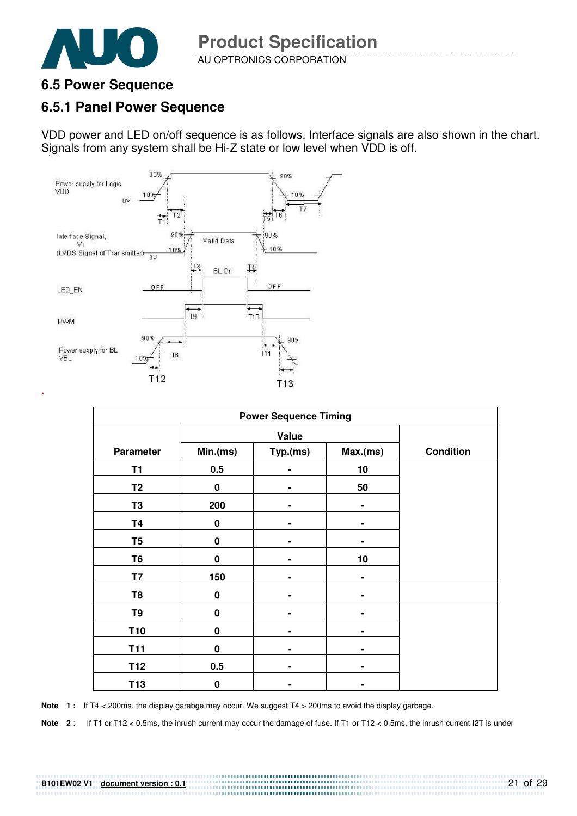

### **6.5 Power Sequence**

### **6.5.1 Panel Power Sequence**

VDD power and LED on/off sequence is as follows. Interface signals are also shown in the chart. Signals from any system shall be Hi-Z state or low level when VDD is off.



| <b>Power Sequence Timing</b> |             |                |          |                  |  |  |  |  |
|------------------------------|-------------|----------------|----------|------------------|--|--|--|--|
|                              | Value       |                |          |                  |  |  |  |  |
| <b>Parameter</b>             | Min.(ms)    | Typ.(ms)       | Max.(ms) | <b>Condition</b> |  |  |  |  |
| <b>T1</b>                    | 0.5         |                | 10       |                  |  |  |  |  |
| T <sub>2</sub>               | 0           | ٠              | 50       |                  |  |  |  |  |
| T <sub>3</sub>               | 200         | $\blacksquare$ | ۰        |                  |  |  |  |  |
| <b>T4</b>                    | $\bf{0}$    |                |          |                  |  |  |  |  |
| T <sub>5</sub>               | $\pmb{0}$   | ۰              |          |                  |  |  |  |  |
| T <sub>6</sub>               | $\mathbf 0$ | ٠              | 10       |                  |  |  |  |  |
| T7                           | 150         |                |          |                  |  |  |  |  |
| T <sub>8</sub>               | 0           |                |          |                  |  |  |  |  |
| T9                           | $\pmb{0}$   | ٠              |          |                  |  |  |  |  |
| T <sub>10</sub>              | 0           |                |          |                  |  |  |  |  |
| <b>T11</b>                   | 0           |                |          |                  |  |  |  |  |
| T12                          | 0.5         | ٠              |          |                  |  |  |  |  |
| T <sub>13</sub>              | 0           |                |          |                  |  |  |  |  |

Note 1: If T4 < 200ms, the display garabge may occur. We suggest T4 > 200ms to avoid the display garbage.

**Note 2** : If T1 or T12 < 0.5ms, the inrush current may occur the damage of fuse. If T1 or T12 < 0.5ms, the inrush current I2T is under

#### **B101EW02 V1 document version : 0.1**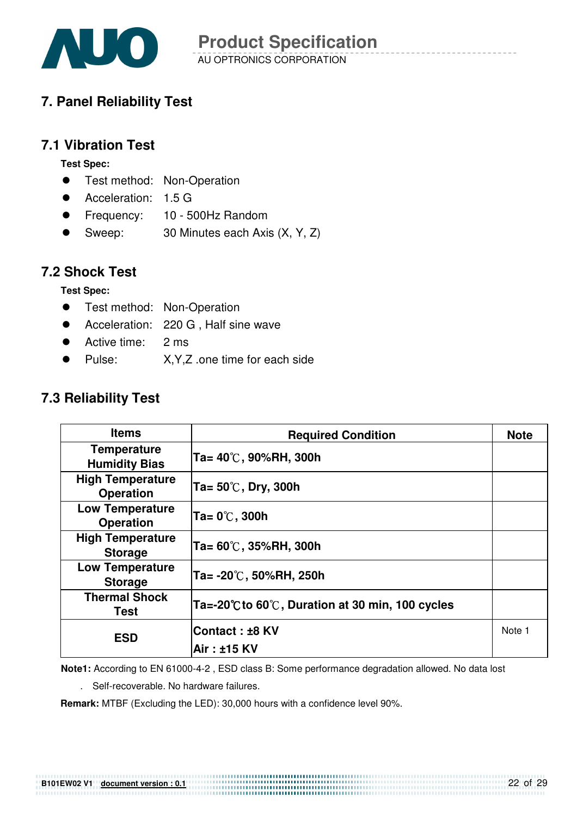

# **7. Panel Reliability Test**

### **7.1 Vibration Test**

**Test Spec:** 

- **•** Test method: Non-Operation
- Acceleration: 1.5 G
- Frequency: 10 500Hz Random
- Sweep: 30 Minutes each Axis (X, Y, Z)

### **7.2 Shock Test**

**Test Spec:** 

- **•** Test method: Non-Operation
- Acceleration: 220 G, Half sine wave
- Active time: 2 ms
- Pulse: X.Y.Z .one time for each side

# **7.3 Reliability Test**

| <b>Items</b>                                | <b>Required Condition</b>                        | <b>Note</b> |
|---------------------------------------------|--------------------------------------------------|-------------|
| <b>Temperature</b><br><b>Humidity Bias</b>  | Ta= 40℃, 90%RH, 300h                             |             |
| <b>High Temperature</b><br><b>Operation</b> | Ta= 50℃, Dry, 300h                               |             |
| <b>Low Temperature</b><br><b>Operation</b>  | Ta= 0℃, 300h                                     |             |
| <b>High Temperature</b><br><b>Storage</b>   | Ta= 60℃, 35%RH, 300h                             |             |
| <b>Low Temperature</b><br><b>Storage</b>    | Ta= -20℃, 50%RH, 250h                            |             |
| <b>Thermal Shock</b><br>Test                | Ta=-20°C to 60°C, Duration at 30 min, 100 cycles |             |
| <b>ESD</b>                                  | Contact : ±8 KV                                  | Note 1      |
|                                             | Air: ±15 KV                                      |             |

**Note1:** According to EN 61000-4-2 , ESD class B: Some performance degradation allowed. No data lost

. Self-recoverable. No hardware failures.

**Remark:** MTBF (Excluding the LED): 30,000 hours with a confidence level 90%.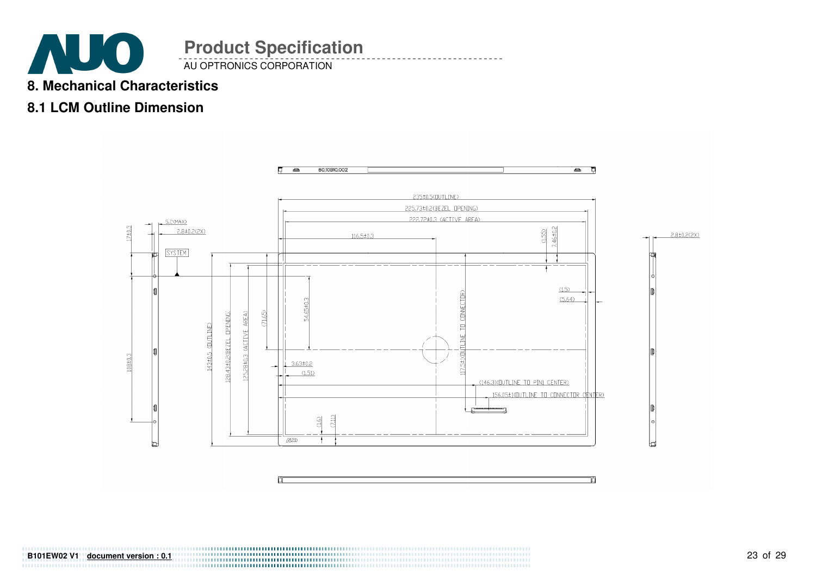

### **8. Mechanical Characteristics**

# **8.1 LCM Outline Dimension**

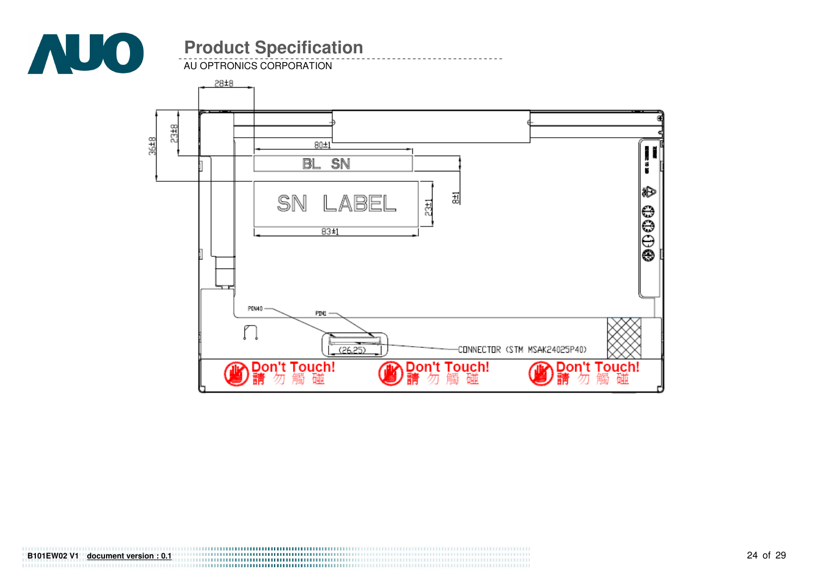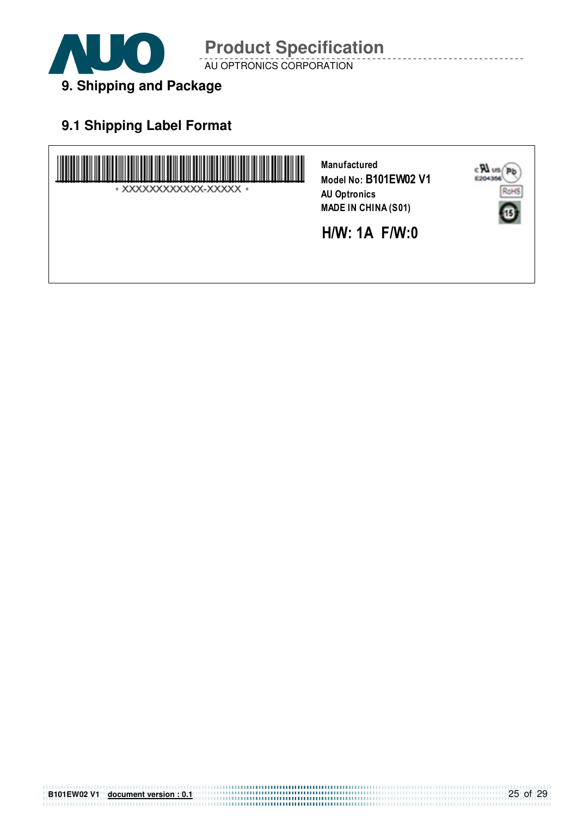

AU OPTRONICS CORPORATION

# **9.1 Shipping Label Format**

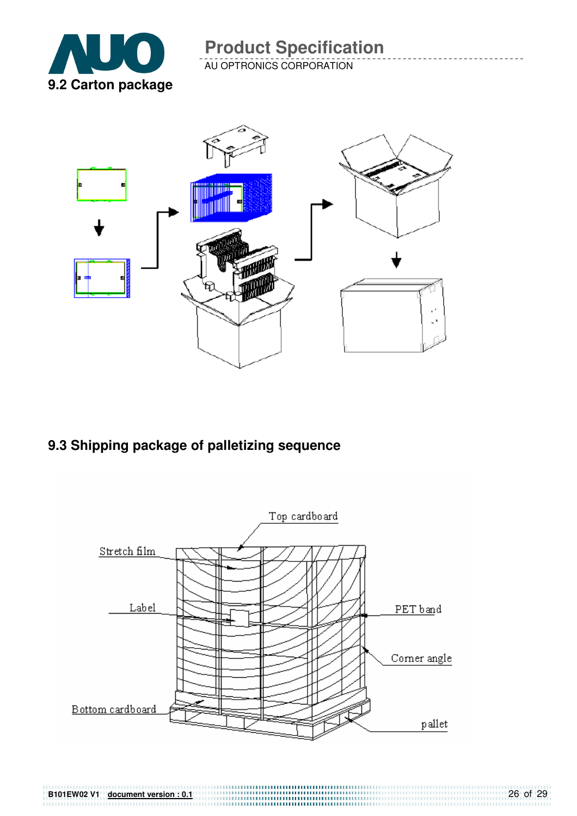

AU OPTRONICS CORPORATION



**9.3 Shipping package of palletizing sequence** 



**B101EW02 V1 document version : 0.1** 26 of 29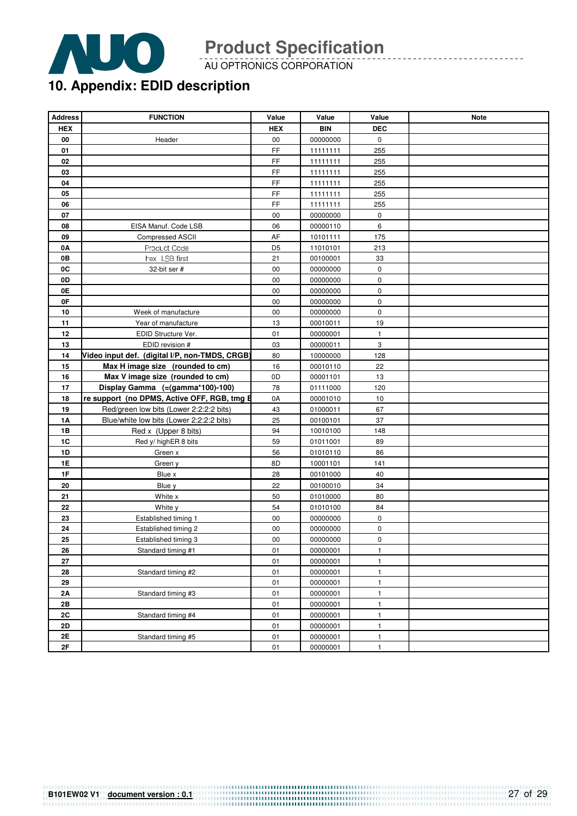

AU OPTRONICS CORPORATION

# **10. Appendix: EDID description**

| <b>Address</b> | <b>FUNCTION</b>                                | Value          | Value      | Value        | <b>Note</b> |
|----------------|------------------------------------------------|----------------|------------|--------------|-------------|
| <b>HEX</b>     |                                                | <b>HEX</b>     | <b>BIN</b> | <b>DEC</b>   |             |
| 00             | Header                                         | 00             | 00000000   | $\mathbf 0$  |             |
| 01             |                                                | FF             | 11111111   | 255          |             |
| 02             |                                                | FF             | 11111111   | 255          |             |
| 03             |                                                | FF             | 11111111   | 255          |             |
| 04             |                                                | FF             | 11111111   | 255          |             |
| 05             |                                                | FF             | 11111111   | 255          |             |
| 06             |                                                | FF             | 11111111   | 255          |             |
| 07             |                                                | 00             | 00000000   | 0            |             |
| 08             | EISA Manuf. Code LSB                           | 06             | 00000110   | 6            |             |
| 09             | <b>Compressed ASCII</b>                        | AF             | 10101111   | 175          |             |
| 0A             | Product Code                                   | D <sub>5</sub> | 11010101   | 213          |             |
| 0В             | hex LSB first                                  | 21             | 00100001   | 33           |             |
| 0C             | 32-bit ser #                                   | 00             | 00000000   | $\pmb{0}$    |             |
| 0D             |                                                | 00             | 00000000   | 0            |             |
| 0E             |                                                | 00             | 00000000   | 0            |             |
| 0F             |                                                | 00             | 00000000   | $\pmb{0}$    |             |
| 10             | Week of manufacture                            | 00             | 00000000   | $\mathbf 0$  |             |
| 11             | Year of manufacture                            | 13             | 00010011   | 19           |             |
| 12             | EDID Structure Ver.                            | 01             | 00000001   | 1            |             |
| 13             | EDID revision #                                | 03             | 00000011   | 3            |             |
| 14             | Video input def. (digital I/P, non-TMDS, CRGB) | 80             | 10000000   | 128          |             |
| 15             | Max H image size (rounded to cm)               | 16             | 00010110   | 22           |             |
| 16             | Max V image size (rounded to cm)               | 0D             | 00001101   | 13           |             |
| 17             | Display Gamma (=(gamma*100)-100)               | 78             | 01111000   | 120          |             |
| 18             | re support (no DPMS, Active OFF, RGB, tmg E    | 0A             | 00001010   | 10           |             |
| 19             | Red/green low bits (Lower 2:2:2:2 bits)        | 43             | 01000011   | 67           |             |
| 1A             | Blue/white low bits (Lower 2:2:2:2 bits)       | 25             | 00100101   | 37           |             |
| 1B             | Red x (Upper 8 bits)                           | 94             | 10010100   | 148          |             |
| 1C             | Red y/ highER 8 bits                           | 59             | 01011001   | 89           |             |
| 1D             | Green x                                        | 56             | 01010110   | 86           |             |
| <b>1E</b>      | Green y                                        | 8D             | 10001101   | 141          |             |
| 1F             | Blue x                                         | 28             | 00101000   | 40           |             |
| 20             | Blue y                                         | 22             | 00100010   | 34           |             |
| 21             | White x                                        | 50             | 01010000   | 80           |             |
| 22             | White y                                        | 54             | 01010100   | 84           |             |
| 23             | Established timing 1                           | 00             | 00000000   | 0            |             |
| 24             | Established timing 2                           | 00             | 00000000   | 0            |             |
| 25             | Established timing 3                           | 00             | 00000000   | 0            |             |
| 26             | Standard timing #1                             | 01             | 00000001   | $\mathbf{1}$ |             |
| 27             |                                                | 01             | 00000001   | $\mathbf{1}$ |             |
| 28             | Standard timing #2                             | 01             | 00000001   | $\mathbf{1}$ |             |
| 29             |                                                | 01             | 00000001   | $\mathbf{1}$ |             |
| 2A             | Standard timing #3                             | 01             | 00000001   | 1            |             |
| 2B             |                                                | 01             | 00000001   | $\mathbf{1}$ |             |
| 2C             | Standard timing #4                             | 01             | 00000001   | $\mathbf{1}$ |             |
| 2D             |                                                | 01             | 00000001   | $\mathbf{1}$ |             |
| 2E             | Standard timing #5                             | 01             | 00000001   | $\mathbf{1}$ |             |
| $2\mathsf{F}$  |                                                | 01             | 00000001   | $\mathbf{1}$ |             |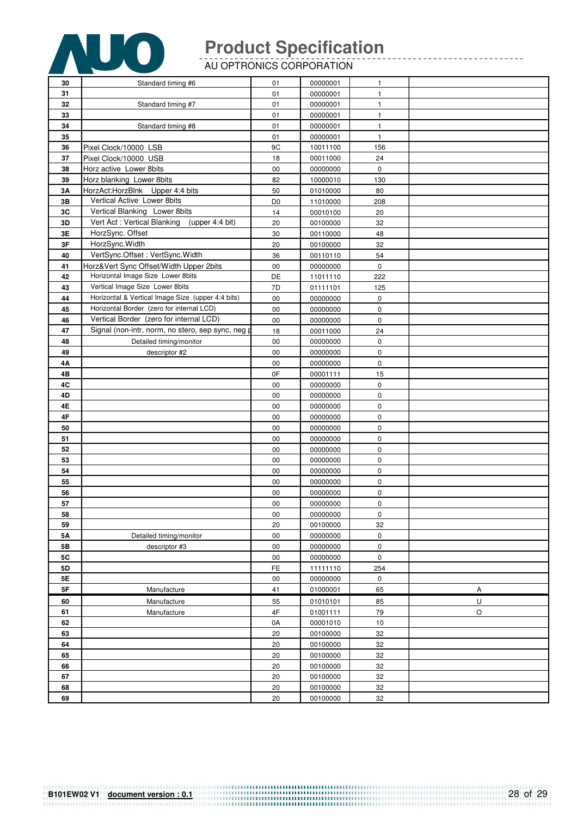

AU OPTRONICS CORPORATION

| 30        | Standard timing #6                                | 01               | 00000001 | 1                      |         |
|-----------|---------------------------------------------------|------------------|----------|------------------------|---------|
| 31        |                                                   | 01               | 00000001 | $\mathbf{1}$           |         |
| 32        | Standard timing #7                                | 01               | 00000001 | $\mathbf{1}$           |         |
| 33        |                                                   | 01               | 00000001 | $\mathbf{1}$           |         |
| 34        | Standard timing #8                                | 01               | 00000001 | $\mathbf{1}$           |         |
| 35        |                                                   | 01               | 00000001 | $\mathbf{1}$           |         |
| 36        | Pixel Clock/10000 LSB                             | 9C               | 10011100 | 156                    |         |
| 37        | Pixel Clock/10000 USB                             | 18               | 00011000 | 24                     |         |
| 38        | Horz active Lower 8bits                           | 00               | 00000000 | 0                      |         |
| 39        | Horz blanking Lower 8bits                         | 82               | 10000010 | 130                    |         |
| 3A        | HorzAct:HorzBlnk Upper 4:4 bits                   | 50               | 01010000 | 80                     |         |
| 3B        | Vertical Active Lower 8bits                       | D <sub>0</sub>   | 11010000 | 208                    |         |
| 3C        | Vertical Blanking Lower 8bits                     | 14               | 00010100 | 20                     |         |
| 3D        | Vert Act: Vertical Blanking<br>(upper 4:4 bit)    | 20               | 00100000 | 32                     |         |
| 3E        | HorzSync. Offset                                  | 30               | 00110000 | 48                     |         |
| $3F$      | HorzSync. Width                                   | 20               | 00100000 | 32                     |         |
| 40        | VertSync.Offset: VertSync.Width                   | 36               | 00110110 | 54                     |         |
| 41        | Horz‖ Sync Offset/Width Upper 2bits               | 00               | 00000000 | $\mathbf 0$            |         |
| 42        | Horizontal Image Size Lower 8bits                 | DE               | 11011110 | 222                    |         |
| 43        | Vertical Image Size Lower 8bits                   | 7D               | 01111101 | 125                    |         |
| 44        | Horizontal & Vertical Image Size (upper 4:4 bits) | $00\,$           | 00000000 | 0                      |         |
| 45        | Horizontal Border (zero for internal LCD)         | $00\,$           | 00000000 | $\pmb{0}$              |         |
| 46        | Vertical Border (zero for internal LCD)           | 00               | 00000000 | $\pmb{0}$              |         |
| 47        | Signal (non-intr, norm, no stero, sep sync, neg p | 18               | 00011000 | 24                     |         |
| 48        | Detailed timing/monitor                           | 00               | 00000000 | 0                      |         |
| 49        | descriptor #2                                     | 00               | 00000000 | $\pmb{0}$              |         |
| 4Α        |                                                   | $00\,$           | 00000000 | $\pmb{0}$              |         |
| 4B        |                                                   | 0F               | 00001111 | 15                     |         |
| 4C        |                                                   | $00\,$           | 00000000 | $\pmb{0}$              |         |
| 4D        |                                                   | $00\,$           | 00000000 | $\pmb{0}$              |         |
| 4E        |                                                   | 00               | 00000000 | $\pmb{0}$              |         |
| 4F        |                                                   | 00               | 00000000 | $\pmb{0}$              |         |
| 50        |                                                   | 00               | 00000000 | $\pmb{0}$              |         |
| 51        |                                                   | $00\,$           | 00000000 | $\pmb{0}$              |         |
| 52        |                                                   | 00               | 00000000 | $\mathbf 0$            |         |
| 53        |                                                   | $00\,$           | 00000000 | $\pmb{0}$              |         |
|           |                                                   | $00\,$           |          | $\pmb{0}$              |         |
| 54        |                                                   |                  | 00000000 |                        |         |
| 55<br>56  |                                                   | 00               | 00000000 | $\pmb{0}$<br>$\pmb{0}$ |         |
|           |                                                   | 00               | 00000000 |                        |         |
| 57        |                                                   | 00               | 00000000 | $\pmb{0}$              |         |
| 58<br>59  |                                                   | 00<br>20         | 00000000 | $\pmb{0}$<br>32        |         |
|           |                                                   |                  | 00100000 |                        |         |
| <b>5A</b> | Detailed timing/monitor                           | $00\,$<br>$00\,$ | 00000000 | $\pmb{0}$              |         |
| 5B        | descriptor #3                                     |                  | 00000000 | $\pmb{0}$              |         |
| 5C        |                                                   | $00\,$<br>FE     | 00000000 | $\pmb{0}$<br>254       |         |
| 5D<br>5E  |                                                   |                  | 11111110 |                        |         |
|           |                                                   | 00               | 00000000 | $\pmb{0}$              |         |
| 5F        | Manufacture                                       | 41               | 01000001 | 65                     | Α       |
| 60        | Manufacture                                       | 55               | 01010101 | 85                     | $\sf U$ |
| 61        | Manufacture                                       | 4F               | 01001111 | 79                     | O       |
| 62        |                                                   | 0A               | 00001010 | 10                     |         |
| 63        |                                                   | 20               | 00100000 | 32                     |         |
| 64        |                                                   | 20               | 00100000 | 32                     |         |
| 65        |                                                   | 20               | 00100000 | 32                     |         |
| 66        |                                                   | $20\,$           | 00100000 | 32                     |         |
| 67        |                                                   | $20\,$           | 00100000 | 32                     |         |
| 68        |                                                   | 20               | 00100000 | 32                     |         |
| 69        |                                                   | 20               | 00100000 | 32                     |         |